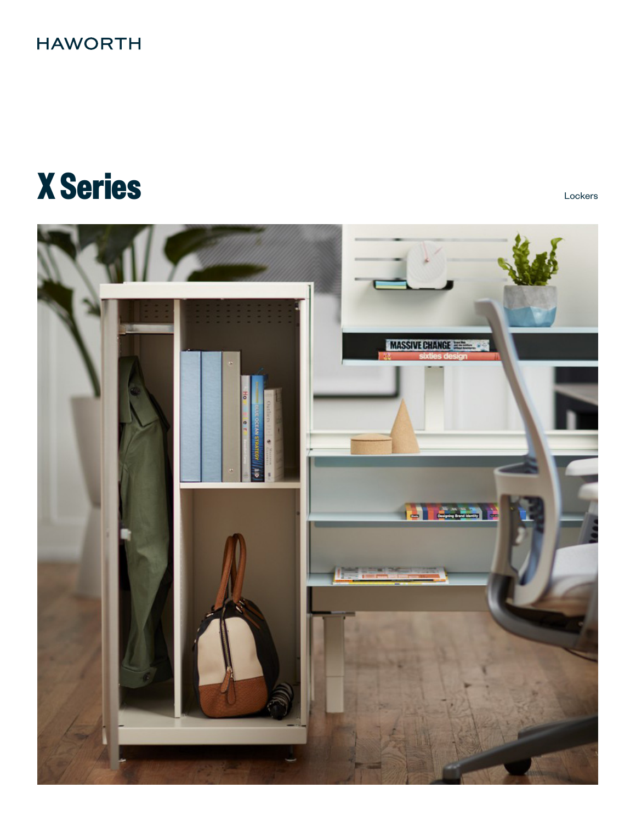## **HAWORTH**

# **X Series** Lockers